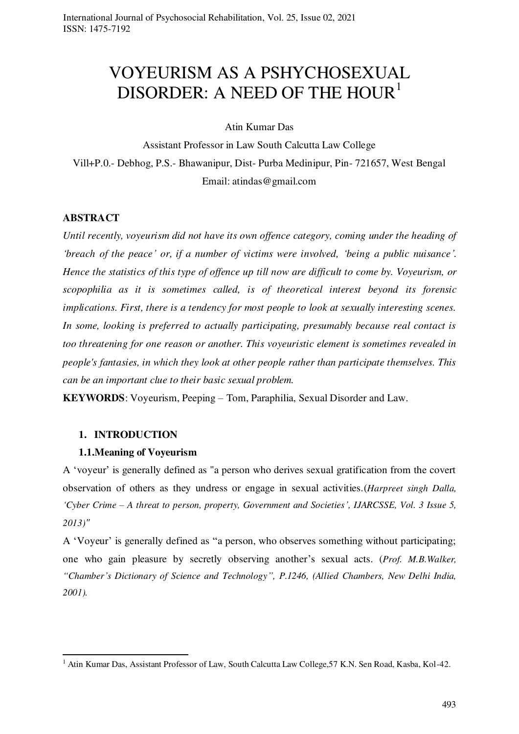# VOYEURISM AS A PSHYCHOSEXUAL DISORDER: A NEED OF THE HOUR<sup>1</sup>

Atin Kumar Das

Assistant Professor in Law South Calcutta Law College Vill+P.0.- Debhog, P.S.- Bhawanipur, Dist- Purba Medinipur, Pin- 721657, West Bengal Email: atindas@gmail.com

# **ABSTRACT**

*Until recently, [voyeurism](https://www.sciencedirect.com/topics/medicine-and-dentistry/voyeurism) did not have its own offence category, coming under the heading of 'breach of the peace' or, if a number of victims were involved, 'being a public nuisance'. Hence the statistics of this type of offence up till now are difficult to come by. Voyeurism, or scopophilia as it is sometimes called, is of theoretical interest beyond its forensic implications. First, there is a tendency for most people to look at sexually interesting scenes. In some, looking is preferred to actually participating, presumably because real contact is too threatening for one reason or another. This voyeuristic element is sometimes revealed in people's fantasies, in which they look at other people rather than participate themselves. This can be an important clue to their basic sexual problem.* 

**KEYWORDS**: Voyeurism, Peeping – Tom, Paraphilia, Sexual Disorder and Law.

# **1. INTRODUCTION**

.

# **1.1.Meaning of Voyeurism**

A 'voyeur' is generally defined as "a person who derives sexual gratification from the covert observation of others as they undress or engage in sexual activities.(*Harpreet singh Dalla, 'Cyber Crime – A threat to person, property, Government and Societies', IJARCSSE, Vol. 3 Issue 5, 2013)"* 

A 'Voyeur' is generally defined as "a person, who observes something without participating; one who gain pleasure by secretly observing another's sexual acts. (*Prof. M.B.Walker, "Chamber's Dictionary of Science and Technology", P.1246, (Allied Chambers, New Delhi India, 2001).* 

<sup>&</sup>lt;sup>1</sup> Atin Kumar Das, Assistant Professor of Law, South Calcutta Law College, 57 K.N. Sen Road, Kasba, Kol-42.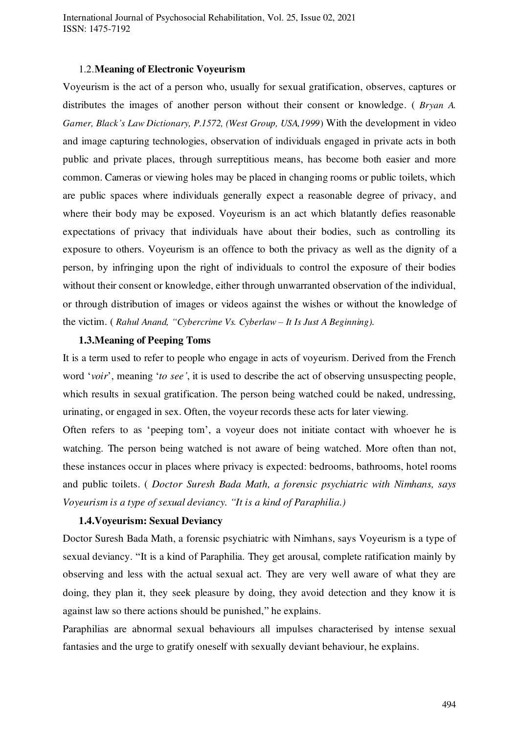International Journal of Psychosocial Rehabilitation, Vol. 25, Issue 02, 2021 ISSN: 1475-7192

#### 1.2.**Meaning of Electronic Voyeurism**

Voyeurism is the act of a person who, usually for sexual gratification, observes, captures or distributes the images of another person without their consent or knowledge. ( *Bryan A. Garner, Black's Law Dictionary, P.1572, (West Group, USA,1999*) With the development in video and image capturing technologies, observation of individuals engaged in private acts in both public and private places, through surreptitious means, has become both easier and more common. Cameras or viewing holes may be placed in changing rooms or public toilets, which are public spaces where individuals generally expect a reasonable degree of privacy, and where their body may be exposed. Voyeurism is an act which blatantly defies reasonable expectations of privacy that individuals have about their bodies, such as controlling its exposure to others. Voyeurism is an offence to both the privacy as well as the dignity of a person, by infringing upon the right of individuals to control the exposure of their bodies without their consent or knowledge, either through unwarranted observation of the individual, or through distribution of images or videos against the wishes or without the knowledge of the victim. ( *Rahul Anand, "Cybercrime Vs. Cyberlaw – It Is Just A Beginning).*

# **1.3.Meaning of Peeping Toms**

It is a term used to refer to people who engage in acts of voyeurism. Derived from the French word '*voir*', meaning '*to see'*, it is used to describe the act of observing unsuspecting people, which results in sexual gratification. The person being watched could be naked, undressing, urinating, or engaged in sex. Often, the voyeur records these acts for later viewing.

Often refers to as 'peeping tom', a voyeur does not initiate contact with whoever he is watching. The person being watched is not aware of being watched. More often than not, these instances occur in places where privacy is expected: bedrooms, bathrooms, hotel rooms and public toilets. ( *Doctor Suresh Bada Math, a forensic psychiatric with Nimhans, says Voyeurism is a type of sexual deviancy. "It is a kind of Paraphilia.)*

## **1.4.Voyeurism: Sexual Deviancy**

Doctor Suresh Bada Math, a forensic psychiatric with Nimhans, says Voyeurism is a type of sexual deviancy. "It is a kind of Paraphilia. They get arousal, complete ratification mainly by observing and less with the actual sexual act. They are very well aware of what they are doing, they plan it, they seek pleasure by doing, they avoid detection and they know it is against law so there actions should be punished," he explains.

Paraphilias are abnormal sexual behaviours all impulses characterised by intense sexual fantasies and the urge to gratify oneself with sexually deviant behaviour, he explains.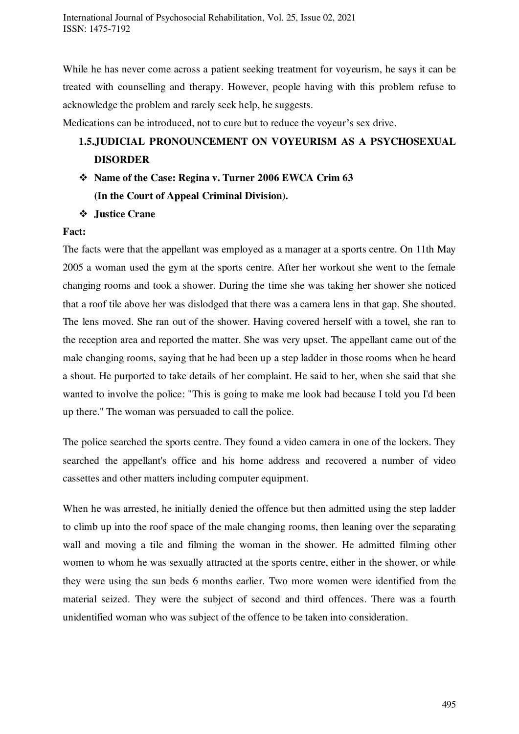While he has never come across a patient seeking treatment for voyeurism, he says it can be treated with counselling and therapy. However, people having with this problem refuse to acknowledge the problem and rarely seek help, he suggests.

Medications can be introduced, not to cure but to reduce the voyeur's sex drive.

# **1.5.JUDICIAL PRONOUNCEMENT ON VOYEURISM AS A PSYCHOSEXUAL DISORDER**

- **Name of the Case: Regina v. Turner 2006 EWCA Crim 63 (In the Court of Appeal Criminal Division).**
- **Justice Crane**

# **Fact:**

The facts were that the appellant was employed as a manager at a sports centre. On 11th May 2005 a woman used the gym at the sports centre. After her workout she went to the female changing rooms and took a shower. During the time she was taking her shower she noticed that a roof tile above her was dislodged that there was a camera lens in that gap. She shouted. The lens moved. She ran out of the shower. Having covered herself with a towel, she ran to the reception area and reported the matter. She was very upset. The appellant came out of the male changing rooms, saying that he had been up a step ladder in those rooms when he heard a shout. He purported to take details of her complaint. He said to her, when she said that she wanted to involve the police: "This is going to make me look bad because I told you I'd been up there." The woman was persuaded to call the police.

The police searched the sports centre. They found a video camera in one of the lockers. They searched the appellant's office and his home address and recovered a number of video cassettes and other matters including computer equipment.

When he was arrested, he initially denied the offence but then admitted using the step ladder to climb up into the roof space of the male changing rooms, then leaning over the separating wall and moving a tile and filming the woman in the shower. He admitted filming other women to whom he was sexually attracted at the sports centre, either in the shower, or while they were using the sun beds 6 months earlier. Two more women were identified from the material seized. They were the subject of second and third offences. There was a fourth unidentified woman who was subject of the offence to be taken into consideration.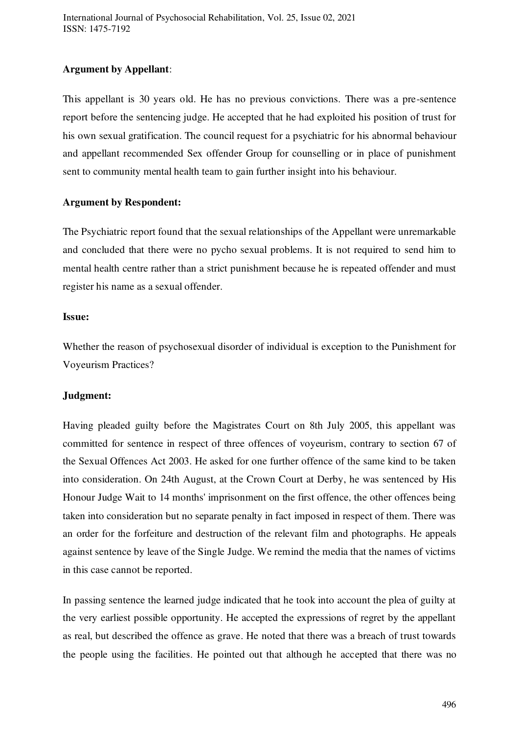# **Argument by Appellant**:

This appellant is 30 years old. He has no previous convictions. There was a pre-sentence report before the sentencing judge. He accepted that he had exploited his position of trust for his own sexual gratification. The council request for a psychiatric for his abnormal behaviour and appellant recommended Sex offender Group for counselling or in place of punishment sent to community mental health team to gain further insight into his behaviour.

# **Argument by Respondent:**

The Psychiatric report found that the sexual relationships of the Appellant were unremarkable and concluded that there were no pycho sexual problems. It is not required to send him to mental health centre rather than a strict punishment because he is repeated offender and must register his name as a sexual offender.

# **Issue:**

Whether the reason of psychosexual disorder of individual is exception to the Punishment for Voyeurism Practices?

# **Judgment:**

Having pleaded guilty before the Magistrates Court on 8th July 2005, this appellant was committed for sentence in respect of three offences of voyeurism, contrary to section 67 of the Sexual Offences Act 2003. He asked for one further offence of the same kind to be taken into consideration. On 24th August, at the Crown Court at Derby, he was sentenced by His Honour Judge Wait to 14 months' imprisonment on the first offence, the other offences being taken into consideration but no separate penalty in fact imposed in respect of them. There was an order for the forfeiture and destruction of the relevant film and photographs. He appeals against sentence by leave of the Single Judge. We remind the media that the names of victims in this case cannot be reported.

In passing sentence the learned judge indicated that he took into account the plea of guilty at the very earliest possible opportunity. He accepted the expressions of regret by the appellant as real, but described the offence as grave. He noted that there was a breach of trust towards the people using the facilities. He pointed out that although he accepted that there was no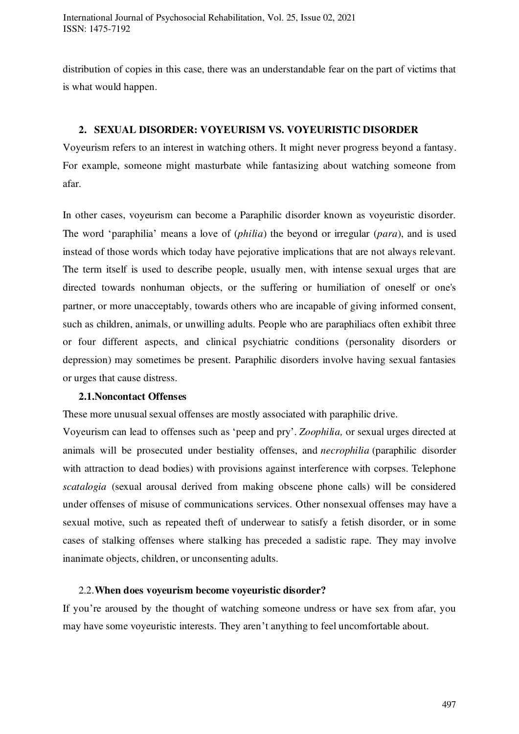distribution of copies in this case, there was an understandable fear on the part of victims that is what would happen.

#### **2. SEXUAL DISORDER: VOYEURISM VS. VOYEURISTIC DISORDER**

Voyeurism refers to an interest in watching others. It might never progress beyond a fantasy. For example, someone might masturbate while fantasizing about watching someone from afar.

In other cases, voyeurism can become a Paraphilic disorder known as voyeuristic disorder. The word 'paraphilia' means a love of (*philia*) the beyond or irregular (*para*), and is used instead of those words which today have pejorative implications that are not always relevant. The term itself is used to describe people, usually men, with intense sexual urges that are directed towards nonhuman objects, or the suffering or humiliation of oneself or one's partner, or more unacceptably, towards others who are incapable of giving informed consent, such as children, animals, or unwilling adults. People who are paraphiliacs often exhibit three or four different aspects, and clinical psychiatric conditions (personality disorders or depression) may sometimes be present. Paraphilic disorders involve having sexual fantasies or urges that cause distress.

# **2.1.Noncontact Offenses**

These more unusual sexual offenses are mostly associated with paraphilic drive.

[Voyeurism](https://www.sciencedirect.com/topics/medicine-and-dentistry/voyeurism) can lead to offenses such as 'peep and pry'. *[Zoophilia,](https://www.sciencedirect.com/topics/medicine-and-dentistry/sex-with-animals)* or sexual urges directed at animals will be prosecuted under bestiality offenses, and *[necrophilia](https://www.sciencedirect.com/topics/medicine-and-dentistry/necrophilia)* (paraphilic disorder with attraction to dead bodies) with provisions against interference with corpses. Telephone *scatalogia* (sexual arousal derived from making obscene phone calls) will be considered under offenses of misuse of communications services. Other nonsexual offenses may have a sexual motive, such as repeated theft of underwear to satisfy a fetish disorder, or in some cases of stalking offenses where stalking has preceded a sadistic rape. They may involve inanimate objects, children, or unconsenting adults.

#### 2.2.**When does voyeurism become voyeuristic disorder?**

If you're aroused by the thought of watching someone undress or have sex from afar, you may have some voyeuristic interests. They aren't anything to feel uncomfortable about.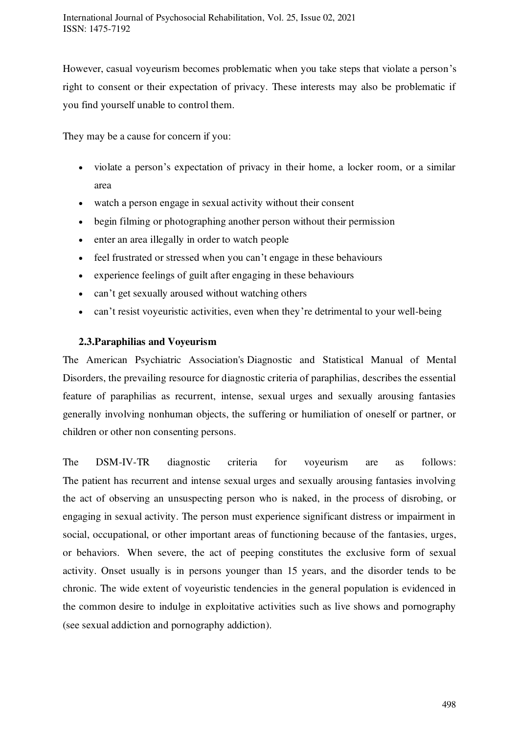However, casual voyeurism becomes problematic when you take steps that violate a person's right to consent or their expectation of privacy. These interests may also be problematic if you find yourself unable to control them.

They may be a cause for concern if you:

- violate a person's expectation of privacy in their home, a locker room, or a similar area
- watch a person engage in sexual activity without their consent
- begin filming or photographing another person without their permission
- enter an area illegally in order to watch people
- feel frustrated or stressed when you can't engage in these behaviours
- experience feelings of guilt after engaging in these behaviours
- can't get sexually aroused without watching others
- can't resist voyeuristic activities, even when they're detrimental to your well-being

# **2.3.Paraphilias and Voyeurism**

The American Psychiatric Association's [Diagnostic and Statistical Manual of Mental](https://www.psychologistanywhereanytime.com/definitions_psychologist_and_psychologists/psychologist_diagnostic_statistical_manual.htm)  [Disorders,](https://www.psychologistanywhereanytime.com/definitions_psychologist_and_psychologists/psychologist_diagnostic_statistical_manual.htm) the prevailing resource for diagnostic criteria of paraphilias, describes the essential feature of paraphilias as recurrent, intense, sexual urges and sexually arousing fantasies generally involving nonhuman objects, the suffering or humiliation of oneself or partner, or children or other non consenting persons.

The DSM-IV-TR diagnostic criteria for voyeurism are as follows: The patient has recurrent and intense sexual urges and sexually arousing fantasies involving the act of observing an unsuspecting person who is naked, in the process of disrobing, or engaging in sexual activity. The person must experience significant distress or impairment in social, occupational, or other important areas of functioning because of the fantasies, urges, or behaviors. When severe, the act of peeping constitutes the exclusive form of sexual activity. Onset usually is in persons younger than 15 years, and the disorder tends to be chronic. The wide extent of voyeuristic tendencies in the general population is evidenced in the common desire to indulge in exploitative activities such as live shows and pornography (see [sexual addiction](https://www.psychologistanywhereanytime.com/addiction_psychologist/psychologist_addiction_sex_porn.htm) and [pornography addiction\)](https://www.psychologistanywhereanytime.com/addiction_psychologist/psychologist_addiction_sex_porn.htm).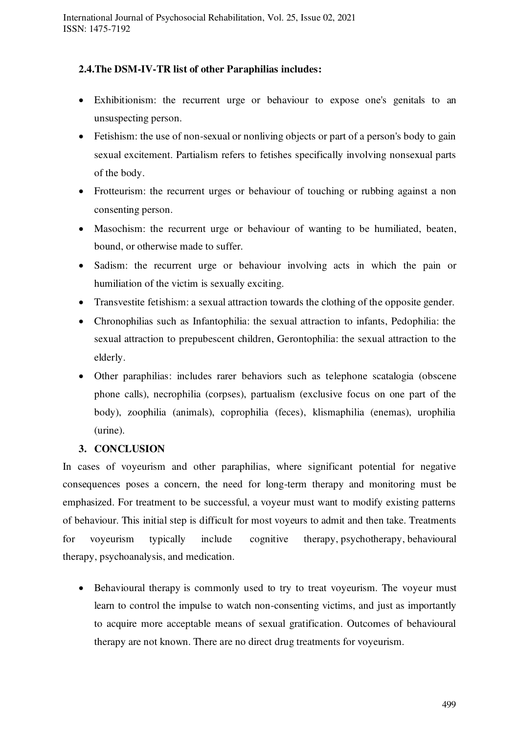# **2.4.The DSM-IV-TR list of other Paraphilias includes:**

- [Exhibitionism:](https://www.psychologistanywhereanytime.com/sexual_problems_pyschologist/psychologist_exhibitionism.htm) the recurrent urge or behaviour to expose one's genitals to an unsuspecting person.
- [Fetishism:](https://www.psychologistanywhereanytime.com/sexual_problems_pyschologist/psychologist_fetishism.htm) the use of non-sexual or nonliving objects or part of a person's body to gain sexual excitement. Partialism refers to fetishes specifically involving nonsexual parts of the body.
- [Frotteurism:](https://www.psychologistanywhereanytime.com/sexual_problems_pyschologist/psychologist_frotteurism.htm) the recurrent urges or behaviour of touching or rubbing against a non consenting person.
- [Masochism:](https://www.psychologistanywhereanytime.com/sexual_problems_pyschologist/psychologist_sadomasochism.htm) the recurrent urge or behaviour of wanting to be humiliated, beaten, bound, or otherwise made to suffer.
- [Sadism:](https://www.psychologistanywhereanytime.com/sexual_problems_pyschologist/psychologist_sadomasochism.htm) the recurrent urge or behaviour involving acts in which the pain or humiliation of the victim is sexually exciting.
- Transvestite fetishism: a sexual attraction towards the clothing of the opposite gender.
- Chronophilias such as Infantophilia: the sexual attraction to infants, Pedophilia: the sexual attraction to prepubescent children, Gerontophilia: the sexual attraction to the elderly.
- Other paraphilias: includes rarer behaviors such as telephone scatalogia (obscene phone calls), necrophilia (corpses), partualism (exclusive focus on one part of the body), zoophilia (animals), coprophilia (feces), klismaphilia (enemas), urophilia (urine).

# **3. CONCLUSION**

In cases of voyeurism and other paraphilias, where significant potential for negative consequences poses a concern, the need for long-term therapy and monitoring must be emphasized. For treatment to be successful, a voyeur must want to modify existing patterns of behaviour. This initial step is difficult for most voyeurs to admit and then take. Treatments for voyeurism typically include [cognitive therapy,](https://www.psychologistanywhereanytime.com/treatment_and_therapy_psychologist/psychologist_cognitive_behavioral_therapy.htm) [psychotherapy,](https://www.psychologistanywhereanytime.com/treatment_and_therapy_psychologist/psychologist_psychotherapy.htm) [behavioural](https://www.psychologistanywhereanytime.com/treatment_and_therapy_psychologist/psychologist_behavioral_therapy.htm)  [therapy,](https://www.psychologistanywhereanytime.com/treatment_and_therapy_psychologist/psychologist_behavioral_therapy.htm) [psychoanalysis,](https://www.psychologistanywhereanytime.com/treatment_and_therapy_psychologist/psychologist_psychoanalysis.htm) and medication.

• [Behavioural therapy](https://www.psychologistanywhereanytime.com/treatment_and_therapy_psychologist/psychologist_behavioral_therapy.htm) is commonly used to try to treat voyeurism. The voyeur must learn to control the impulse to watch non-consenting victims, and just as importantly to acquire more acceptable means of sexual gratification. Outcomes of behavioural therapy are not known. There are no direct drug treatments for voyeurism.